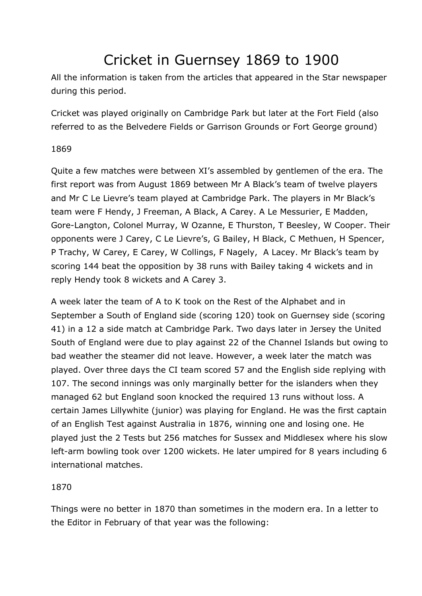# Cricket in Guernsey 1869 to 1900

All the information is taken from the articles that appeared in the Star newspaper during this period.

Cricket was played originally on Cambridge Park but later at the Fort Field (also referred to as the Belvedere Fields or Garrison Grounds or Fort George ground)

# 1869

Quite a few matches were between XI's assembled by gentlemen of the era. The first report was from August 1869 between Mr A Black's team of twelve players and Mr C Le Lievre's team played at Cambridge Park. The players in Mr Black's team were F Hendy, J Freeman, A Black, A Carey. A Le Messurier, E Madden, Gore-Langton, Colonel Murray, W Ozanne, E Thurston, T Beesley, W Cooper. Their opponents were J Carey, C Le Lievre's, G Bailey, H Black, C Methuen, H Spencer, P Trachy, W Carey, E Carey, W Collings, F Nagely, A Lacey. Mr Black's team by scoring 144 beat the opposition by 38 runs with Bailey taking 4 wickets and in reply Hendy took 8 wickets and A Carey 3.

A week later the team of A to K took on the Rest of the Alphabet and in September a South of England side (scoring 120) took on Guernsey side (scoring 41) in a 12 a side match at Cambridge Park. Two days later in Jersey the United South of England were due to play against 22 of the Channel Islands but owing to bad weather the steamer did not leave. However, a week later the match was played. Over three days the CI team scored 57 and the English side replying with 107. The second innings was only marginally better for the islanders when they managed 62 but England soon knocked the required 13 runs without loss. A certain James Lillywhite (junior) was playing for England. He was the first captain of an English Test against Australia in 1876, winning one and losing one. He played just the 2 Tests but 256 matches for Sussex and Middlesex where his slow left-arm bowling took over 1200 wickets. He later umpired for 8 years including 6 international matches.

# 1870

Things were no better in 1870 than sometimes in the modern era. In a letter to the Editor in February of that year was the following: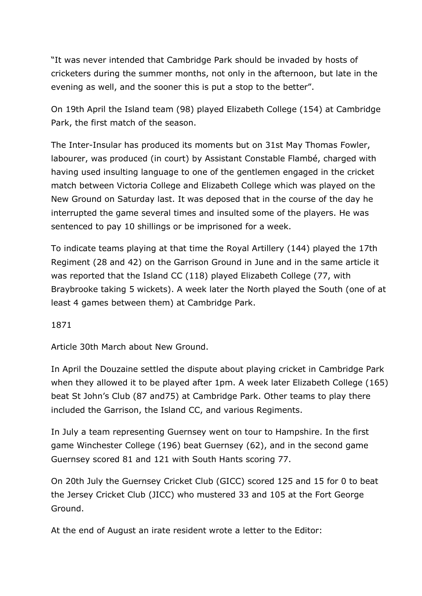"It was never intended that Cambridge Park should be invaded by hosts of cricketers during the summer months, not only in the afternoon, but late in the evening as well, and the sooner this is put a stop to the better".

On 19th April the Island team (98) played Elizabeth College (154) at Cambridge Park, the first match of the season.

The Inter-Insular has produced its moments but on 31st May Thomas Fowler, labourer, was produced (in court) by Assistant Constable Flambé, charged with having used insulting language to one of the gentlemen engaged in the cricket match between Victoria College and Elizabeth College which was played on the New Ground on Saturday last. It was deposed that in the course of the day he interrupted the game several times and insulted some of the players. He was sentenced to pay 10 shillings or be imprisoned for a week.

To indicate teams playing at that time the Royal Artillery (144) played the 17th Regiment (28 and 42) on the Garrison Ground in June and in the same article it was reported that the Island CC (118) played Elizabeth College (77, with Braybrooke taking 5 wickets). A week later the North played the South (one of at least 4 games between them) at Cambridge Park.

1871

Article 30th March about New Ground.

In April the Douzaine settled the dispute about playing cricket in Cambridge Park when they allowed it to be played after 1pm. A week later Elizabeth College (165) beat St John's Club (87 and75) at Cambridge Park. Other teams to play there included the Garrison, the Island CC, and various Regiments.

In July a team representing Guernsey went on tour to Hampshire. In the first game Winchester College (196) beat Guernsey (62), and in the second game Guernsey scored 81 and 121 with South Hants scoring 77.

On 20th July the Guernsey Cricket Club (GICC) scored 125 and 15 for 0 to beat the Jersey Cricket Club (JICC) who mustered 33 and 105 at the Fort George Ground.

At the end of August an irate resident wrote a letter to the Editor: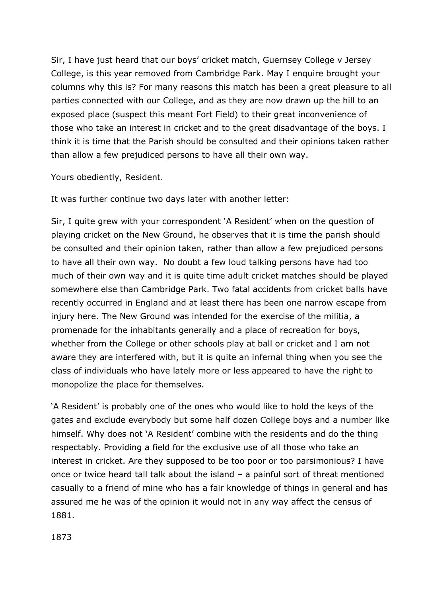Sir, I have just heard that our boys' cricket match, Guernsey College v Jersey College, is this year removed from Cambridge Park. May I enquire brought your columns why this is? For many reasons this match has been a great pleasure to all parties connected with our College, and as they are now drawn up the hill to an exposed place (suspect this meant Fort Field) to their great inconvenience of those who take an interest in cricket and to the great disadvantage of the boys. I think it is time that the Parish should be consulted and their opinions taken rather than allow a few prejudiced persons to have all their own way.

Yours obediently, Resident.

It was further continue two days later with another letter:

Sir, I quite grew with your correspondent 'A Resident' when on the question of playing cricket on the New Ground, he observes that it is time the parish should be consulted and their opinion taken, rather than allow a few prejudiced persons to have all their own way. No doubt a few loud talking persons have had too much of their own way and it is quite time adult cricket matches should be played somewhere else than Cambridge Park. Two fatal accidents from cricket balls have recently occurred in England and at least there has been one narrow escape from injury here. The New Ground was intended for the exercise of the militia, a promenade for the inhabitants generally and a place of recreation for boys, whether from the College or other schools play at ball or cricket and I am not aware they are interfered with, but it is quite an infernal thing when you see the class of individuals who have lately more or less appeared to have the right to monopolize the place for themselves.

'A Resident' is probably one of the ones who would like to hold the keys of the gates and exclude everybody but some half dozen College boys and a number like himself. Why does not 'A Resident' combine with the residents and do the thing respectably. Providing a field for the exclusive use of all those who take an interest in cricket. Are they supposed to be too poor or too parsimonious? I have once or twice heard tall talk about the island – a painful sort of threat mentioned casually to a friend of mine who has a fair knowledge of things in general and has assured me he was of the opinion it would not in any way affect the census of 1881.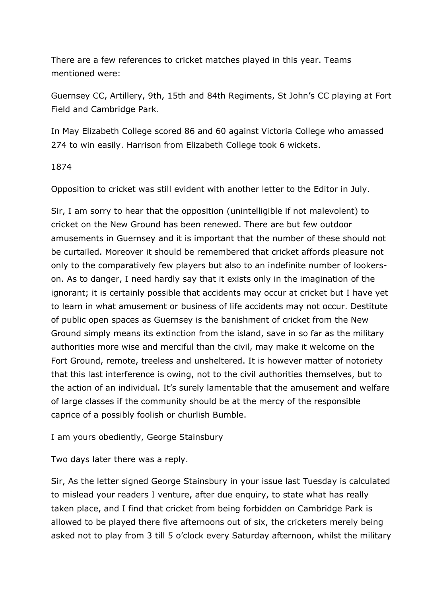There are a few references to cricket matches played in this year. Teams mentioned were:

Guernsey CC, Artillery, 9th, 15th and 84th Regiments, St John's CC playing at Fort Field and Cambridge Park.

In May Elizabeth College scored 86 and 60 against Victoria College who amassed 274 to win easily. Harrison from Elizabeth College took 6 wickets.

1874

Opposition to cricket was still evident with another letter to the Editor in July.

Sir, I am sorry to hear that the opposition (unintelligible if not malevolent) to cricket on the New Ground has been renewed. There are but few outdoor amusements in Guernsey and it is important that the number of these should not be curtailed. Moreover it should be remembered that cricket affords pleasure not only to the comparatively few players but also to an indefinite number of lookerson. As to danger, I need hardly say that it exists only in the imagination of the ignorant; it is certainly possible that accidents may occur at cricket but I have yet to learn in what amusement or business of life accidents may not occur. Destitute of public open spaces as Guernsey is the banishment of cricket from the New Ground simply means its extinction from the island, save in so far as the military authorities more wise and merciful than the civil, may make it welcome on the Fort Ground, remote, treeless and unsheltered. It is however matter of notoriety that this last interference is owing, not to the civil authorities themselves, but to the action of an individual. It's surely lamentable that the amusement and welfare of large classes if the community should be at the mercy of the responsible caprice of a possibly foolish or churlish Bumble.

I am yours obediently, George Stainsbury

Two days later there was a reply.

Sir, As the letter signed George Stainsbury in your issue last Tuesday is calculated to mislead your readers I venture, after due enquiry, to state what has really taken place, and I find that cricket from being forbidden on Cambridge Park is allowed to be played there five afternoons out of six, the cricketers merely being asked not to play from 3 till 5 o'clock every Saturday afternoon, whilst the military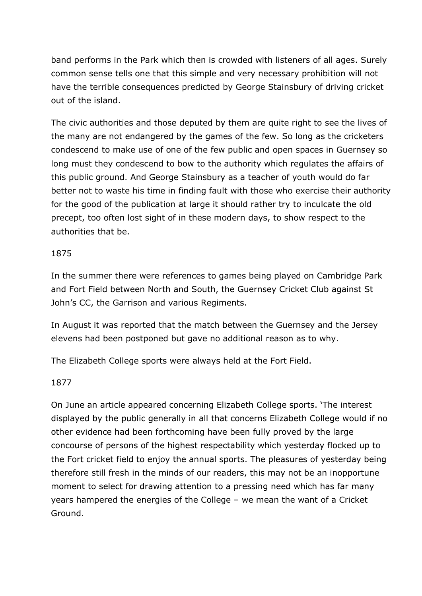band performs in the Park which then is crowded with listeners of all ages. Surely common sense tells one that this simple and very necessary prohibition will not have the terrible consequences predicted by George Stainsbury of driving cricket out of the island.

The civic authorities and those deputed by them are quite right to see the lives of the many are not endangered by the games of the few. So long as the cricketers condescend to make use of one of the few public and open spaces in Guernsey so long must they condescend to bow to the authority which regulates the affairs of this public ground. And George Stainsbury as a teacher of youth would do far better not to waste his time in finding fault with those who exercise their authority for the good of the publication at large it should rather try to inculcate the old precept, too often lost sight of in these modern days, to show respect to the authorities that be.

# 1875

In the summer there were references to games being played on Cambridge Park and Fort Field between North and South, the Guernsey Cricket Club against St John's CC, the Garrison and various Regiments.

In August it was reported that the match between the Guernsey and the Jersey elevens had been postponed but gave no additional reason as to why.

The Elizabeth College sports were always held at the Fort Field.

# 1877

On June an article appeared concerning Elizabeth College sports. 'The interest displayed by the public generally in all that concerns Elizabeth College would if no other evidence had been forthcoming have been fully proved by the large concourse of persons of the highest respectability which yesterday flocked up to the Fort cricket field to enjoy the annual sports. The pleasures of yesterday being therefore still fresh in the minds of our readers, this may not be an inopportune moment to select for drawing attention to a pressing need which has far many years hampered the energies of the College – we mean the want of a Cricket Ground.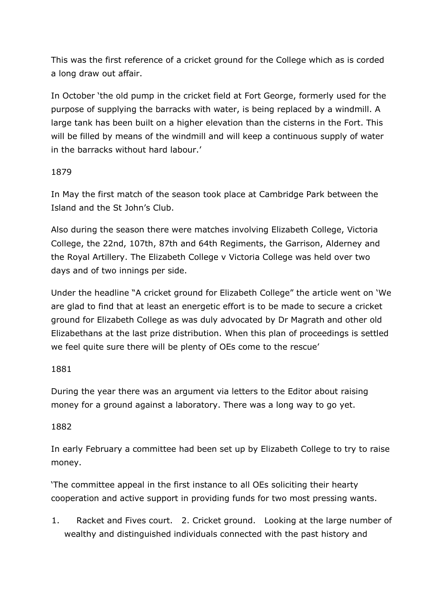This was the first reference of a cricket ground for the College which as is corded a long draw out affair.

In October 'the old pump in the cricket field at Fort George, formerly used for the purpose of supplying the barracks with water, is being replaced by a windmill. A large tank has been built on a higher elevation than the cisterns in the Fort. This will be filled by means of the windmill and will keep a continuous supply of water in the barracks without hard labour.'

# 1879

In May the first match of the season took place at Cambridge Park between the Island and the St John's Club.

Also during the season there were matches involving Elizabeth College, Victoria College, the 22nd, 107th, 87th and 64th Regiments, the Garrison, Alderney and the Royal Artillery. The Elizabeth College v Victoria College was held over two days and of two innings per side.

Under the headline "A cricket ground for Elizabeth College" the article went on 'We are glad to find that at least an energetic effort is to be made to secure a cricket ground for Elizabeth College as was duly advocated by Dr Magrath and other old Elizabethans at the last prize distribution. When this plan of proceedings is settled we feel quite sure there will be plenty of OEs come to the rescue'

# 1881

During the year there was an argument via letters to the Editor about raising money for a ground against a laboratory. There was a long way to go yet.

# 1882

In early February a committee had been set up by Elizabeth College to try to raise money.

'The committee appeal in the first instance to all OEs soliciting their hearty cooperation and active support in providing funds for two most pressing wants.

1. Racket and Fives court. 2. Cricket ground. Looking at the large number of wealthy and distinguished individuals connected with the past history and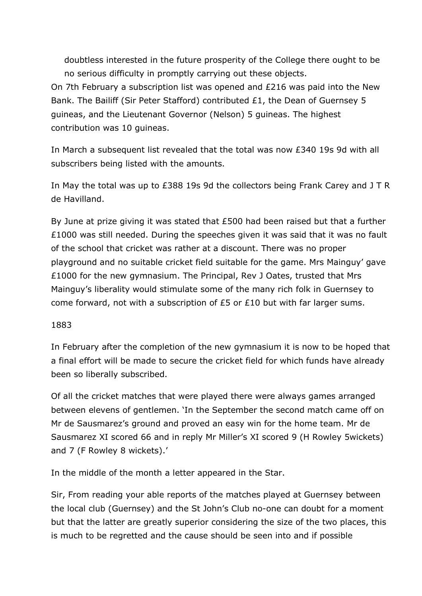doubtless interested in the future prosperity of the College there ought to be no serious difficulty in promptly carrying out these objects. On 7th February a subscription list was opened and £216 was paid into the New Bank. The Bailiff (Sir Peter Stafford) contributed £1, the Dean of Guernsey 5 guineas, and the Lieutenant Governor (Nelson) 5 guineas. The highest contribution was 10 guineas.

In March a subsequent list revealed that the total was now £340 19s 9d with all subscribers being listed with the amounts.

In May the total was up to £388 19s 9d the collectors being Frank Carey and J T R de Havilland.

By June at prize giving it was stated that £500 had been raised but that a further £1000 was still needed. During the speeches given it was said that it was no fault of the school that cricket was rather at a discount. There was no proper playground and no suitable cricket field suitable for the game. Mrs Mainguy' gave £1000 for the new gymnasium. The Principal, Rev J Oates, trusted that Mrs Mainguy's liberality would stimulate some of the many rich folk in Guernsey to come forward, not with a subscription of £5 or £10 but with far larger sums.

#### 1883

In February after the completion of the new gymnasium it is now to be hoped that a final effort will be made to secure the cricket field for which funds have already been so liberally subscribed.

Of all the cricket matches that were played there were always games arranged between elevens of gentlemen. 'In the September the second match came off on Mr de Sausmarez's ground and proved an easy win for the home team. Mr de Sausmarez XI scored 66 and in reply Mr Miller's XI scored 9 (H Rowley 5wickets) and 7 (F Rowley 8 wickets).'

In the middle of the month a letter appeared in the Star.

Sir, From reading your able reports of the matches played at Guernsey between the local club (Guernsey) and the St John's Club no-one can doubt for a moment but that the latter are greatly superior considering the size of the two places, this is much to be regretted and the cause should be seen into and if possible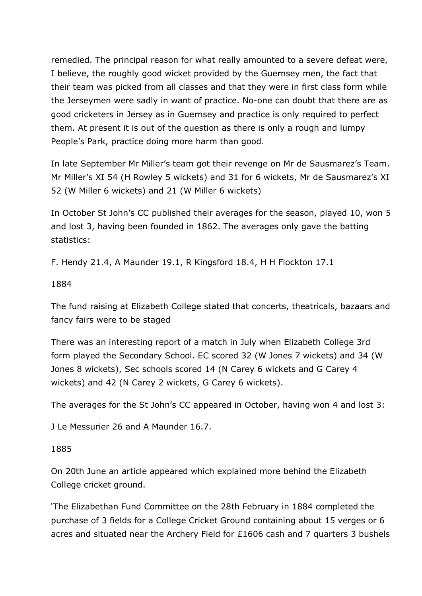remedied. The principal reason for what really amounted to a severe defeat were, I believe, the roughly good wicket provided by the Guernsey men, the fact that their team was picked from all classes and that they were in first class form while the Jerseymen were sadly in want of practice. No-one can doubt that there are as good cricketers in Jersey as in Guernsey and practice is only required to perfect them. At present it is out of the question as there is only a rough and lumpy People's Park, practice doing more harm than good.

In late September Mr Miller's team got their revenge on Mr de Sausmarez's Team. Mr Miller's XI 54 (H Rowley 5 wickets) and 31 for 6 wickets, Mr de Sausmarez's XI 52 (W Miller 6 wickets) and 21 (W Miller 6 wickets)

In October St John's CC published their averages for the season, played 10, won 5 and lost 3, having been founded in 1862. The averages only gave the batting statistics:

F. Hendy 21.4, A Maunder 19.1, R Kingsford 18.4, H H Flockton 17.1

## 1884

The fund raising at Elizabeth College stated that concerts, theatricals, bazaars and fancy fairs were to be staged

There was an interesting report of a match in July when Elizabeth College 3rd form played the Secondary School. EC scored 32 (W Jones 7 wickets) and 34 (W Jones 8 wickets), Sec schools scored 14 (N Carey 6 wickets and G Carey 4 wickets) and 42 (N Carey 2 wickets, G Carey 6 wickets).

The averages for the St John's CC appeared in October, having won 4 and lost 3:

J Le Messurier 26 and A Maunder 16.7.

# 1885

On 20th June an article appeared which explained more behind the Elizabeth College cricket ground.

'The Elizabethan Fund Committee on the 28th February in 1884 completed the purchase of 3 fields for a College Cricket Ground containing about 15 verges or 6 acres and situated near the Archery Field for £1606 cash and 7 quarters 3 bushels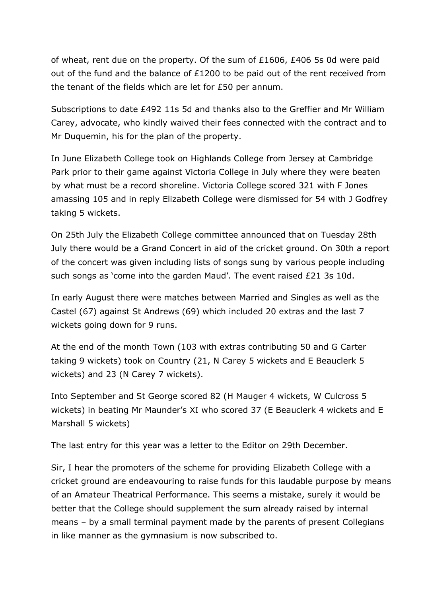of wheat, rent due on the property. Of the sum of £1606, £406 5s 0d were paid out of the fund and the balance of £1200 to be paid out of the rent received from the tenant of the fields which are let for £50 per annum.

Subscriptions to date £492 11s 5d and thanks also to the Greffier and Mr William Carey, advocate, who kindly waived their fees connected with the contract and to Mr Duquemin, his for the plan of the property.

In June Elizabeth College took on Highlands College from Jersey at Cambridge Park prior to their game against Victoria College in July where they were beaten by what must be a record shoreline. Victoria College scored 321 with F Jones amassing 105 and in reply Elizabeth College were dismissed for 54 with J Godfrey taking 5 wickets.

On 25th July the Elizabeth College committee announced that on Tuesday 28th July there would be a Grand Concert in aid of the cricket ground. On 30th a report of the concert was given including lists of songs sung by various people including such songs as 'come into the garden Maud'. The event raised £21 3s 10d.

In early August there were matches between Married and Singles as well as the Castel (67) against St Andrews (69) which included 20 extras and the last 7 wickets going down for 9 runs.

At the end of the month Town (103 with extras contributing 50 and G Carter taking 9 wickets) took on Country (21, N Carey 5 wickets and E Beauclerk 5 wickets) and 23 (N Carey 7 wickets).

Into September and St George scored 82 (H Mauger 4 wickets, W Culcross 5 wickets) in beating Mr Maunder's XI who scored 37 (E Beauclerk 4 wickets and E Marshall 5 wickets)

The last entry for this year was a letter to the Editor on 29th December.

Sir, I hear the promoters of the scheme for providing Elizabeth College with a cricket ground are endeavouring to raise funds for this laudable purpose by means of an Amateur Theatrical Performance. This seems a mistake, surely it would be better that the College should supplement the sum already raised by internal means – by a small terminal payment made by the parents of present Collegians in like manner as the gymnasium is now subscribed to.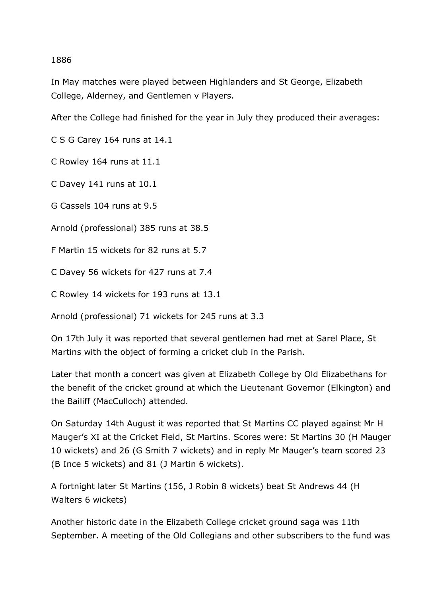#### 1886

In May matches were played between Highlanders and St George, Elizabeth College, Alderney, and Gentlemen v Players.

After the College had finished for the year in July they produced their averages:

C S G Carey 164 runs at 14.1

C Rowley 164 runs at 11.1

C Davey 141 runs at 10.1

G Cassels 104 runs at 9.5

Arnold (professional) 385 runs at 38.5

F Martin 15 wickets for 82 runs at 5.7

C Davey 56 wickets for 427 runs at 7.4

C Rowley 14 wickets for 193 runs at 13.1

Arnold (professional) 71 wickets for 245 runs at 3.3

On 17th July it was reported that several gentlemen had met at Sarel Place, St Martins with the object of forming a cricket club in the Parish.

Later that month a concert was given at Elizabeth College by Old Elizabethans for the benefit of the cricket ground at which the Lieutenant Governor (Elkington) and the Bailiff (MacCulloch) attended.

On Saturday 14th August it was reported that St Martins CC played against Mr H Mauger's XI at the Cricket Field, St Martins. Scores were: St Martins 30 (H Mauger 10 wickets) and 26 (G Smith 7 wickets) and in reply Mr Mauger's team scored 23 (B Ince 5 wickets) and 81 (J Martin 6 wickets).

A fortnight later St Martins (156, J Robin 8 wickets) beat St Andrews 44 (H Walters 6 wickets)

Another historic date in the Elizabeth College cricket ground saga was 11th September. A meeting of the Old Collegians and other subscribers to the fund was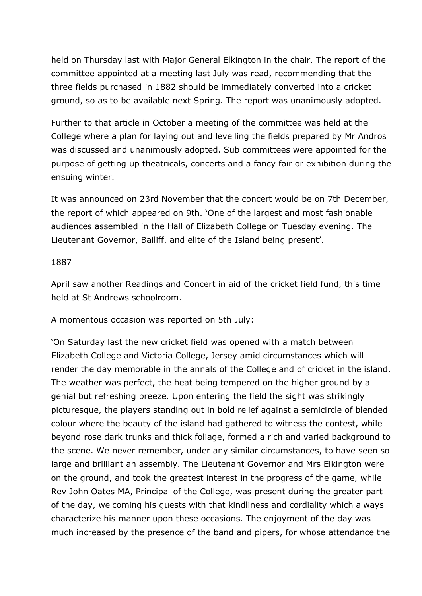held on Thursday last with Major General Elkington in the chair. The report of the committee appointed at a meeting last July was read, recommending that the three fields purchased in 1882 should be immediately converted into a cricket ground, so as to be available next Spring. The report was unanimously adopted.

Further to that article in October a meeting of the committee was held at the College where a plan for laying out and levelling the fields prepared by Mr Andros was discussed and unanimously adopted. Sub committees were appointed for the purpose of getting up theatricals, concerts and a fancy fair or exhibition during the ensuing winter.

It was announced on 23rd November that the concert would be on 7th December, the report of which appeared on 9th. 'One of the largest and most fashionable audiences assembled in the Hall of Elizabeth College on Tuesday evening. The Lieutenant Governor, Bailiff, and elite of the Island being present'.

#### 1887

April saw another Readings and Concert in aid of the cricket field fund, this time held at St Andrews schoolroom.

A momentous occasion was reported on 5th July:

'On Saturday last the new cricket field was opened with a match between Elizabeth College and Victoria College, Jersey amid circumstances which will render the day memorable in the annals of the College and of cricket in the island. The weather was perfect, the heat being tempered on the higher ground by a genial but refreshing breeze. Upon entering the field the sight was strikingly picturesque, the players standing out in bold relief against a semicircle of blended colour where the beauty of the island had gathered to witness the contest, while beyond rose dark trunks and thick foliage, formed a rich and varied background to the scene. We never remember, under any similar circumstances, to have seen so large and brilliant an assembly. The Lieutenant Governor and Mrs Elkington were on the ground, and took the greatest interest in the progress of the game, while Rev John Oates MA, Principal of the College, was present during the greater part of the day, welcoming his guests with that kindliness and cordiality which always characterize his manner upon these occasions. The enjoyment of the day was much increased by the presence of the band and pipers, for whose attendance the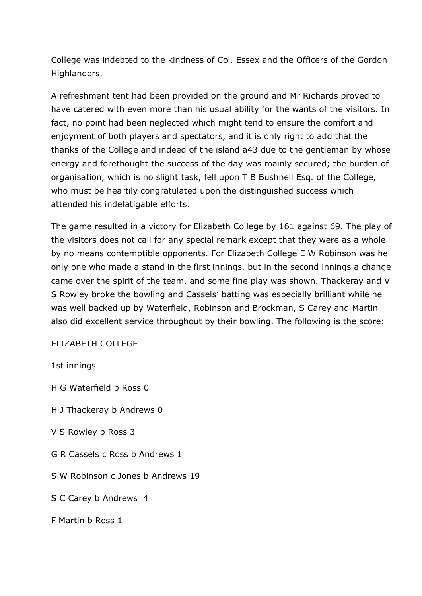College was indebted to the kindness of Col. Essex and the Officers of the Gordon Highlanders.

A refreshment tent had been provided on the ground and Mr Richards proved to have catered with even more than his usual ability for the wants of the visitors. In fact, no point had been neglected which might tend to ensure the comfort and enjoyment of both players and spectators, and it is only right to add that the thanks of the College and indeed of the island a43 due to the gentleman by whose energy and forethought the success of the day was mainly secured; the burden of organisation, which is no slight task, fell upon T B Bushnell Esq. of the College, who must be heartily congratulated upon the distinguished success which attended his indefatigable efforts.

The game resulted in a victory for Elizabeth College by 161 against 69. The play of the visitors does not call for any special remark except that they were as a whole by no means contemptible opponents. For Elizabeth College E W Robinson was he only one who made a stand in the first innings, but in the second innings a change came over the spirit of the team, and some fine play was shown. Thackeray and V S Rowley broke the bowling and Cassels' batting was especially brilliant while he was well backed up by Waterfield, Robinson and Brockman, S Carey and Martin also did excellent service throughout by their bowling. The following is the score:

#### ELIZABETH COLLEGE

#### 1st innings

H G Waterfield b Ross 0

- H J Thackeray b Andrews 0
- V S Rowley b Ross 3
- G R Cassels c Ross b Andrews 1
- S W Robinson c Jones b Andrews 19
- S C Carey b Andrews 4
- F Martin b Ross 1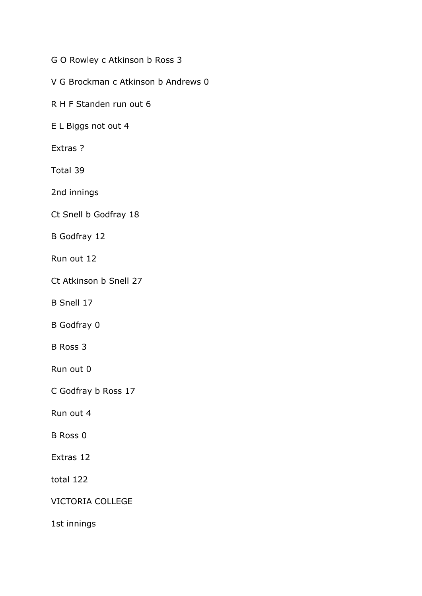G O Rowley c Atkinson b Ross 3

V G Brockman c Atkinson b Andrews 0

R H F Standen run out 6

E L Biggs not out 4

Extras ?

Total 39

2nd innings

Ct Snell b Godfray 18

B Godfray 12

Run out 12

Ct Atkinson b Snell 27

B Snell 17

B Godfray 0

B Ross 3

Run out 0

C Godfray b Ross 17

Run out 4

B Ross 0

Extras 12

total 122

VICTORIA COLLEGE

1st innings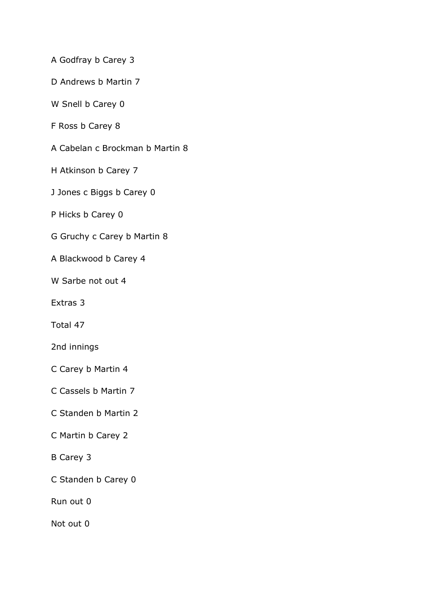A Godfray b Carey 3

D Andrews b Martin 7

W Snell b Carey 0

F Ross b Carey 8

A Cabelan c Brockman b Martin 8

H Atkinson b Carey 7

J Jones c Biggs b Carey 0

P Hicks b Carey 0

G Gruchy c Carey b Martin 8

A Blackwood b Carey 4

W Sarbe not out 4

Extras 3

Total 47

2nd innings

C Carey b Martin 4

C Cassels b Martin 7

C Standen b Martin 2

C Martin b Carey 2

B Carey 3

C Standen b Carey 0

Run out 0

Not out 0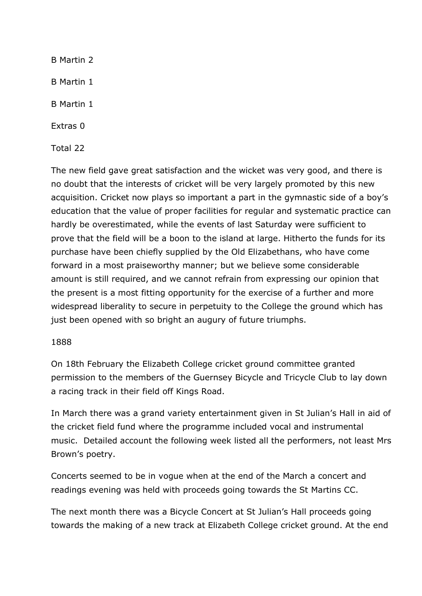B Martin 2 B Martin 1 B Martin 1 Extras 0 Total 22

The new field gave great satisfaction and the wicket was very good, and there is no doubt that the interests of cricket will be very largely promoted by this new acquisition. Cricket now plays so important a part in the gymnastic side of a boy's education that the value of proper facilities for regular and systematic practice can hardly be overestimated, while the events of last Saturday were sufficient to prove that the field will be a boon to the island at large. Hitherto the funds for its purchase have been chiefly supplied by the Old Elizabethans, who have come forward in a most praiseworthy manner; but we believe some considerable amount is still required, and we cannot refrain from expressing our opinion that the present is a most fitting opportunity for the exercise of a further and more widespread liberality to secure in perpetuity to the College the ground which has just been opened with so bright an augury of future triumphs.

# 1888

On 18th February the Elizabeth College cricket ground committee granted permission to the members of the Guernsey Bicycle and Tricycle Club to lay down a racing track in their field off Kings Road.

In March there was a grand variety entertainment given in St Julian's Hall in aid of the cricket field fund where the programme included vocal and instrumental music. Detailed account the following week listed all the performers, not least Mrs Brown's poetry.

Concerts seemed to be in vogue when at the end of the March a concert and readings evening was held with proceeds going towards the St Martins CC.

The next month there was a Bicycle Concert at St Julian's Hall proceeds going towards the making of a new track at Elizabeth College cricket ground. At the end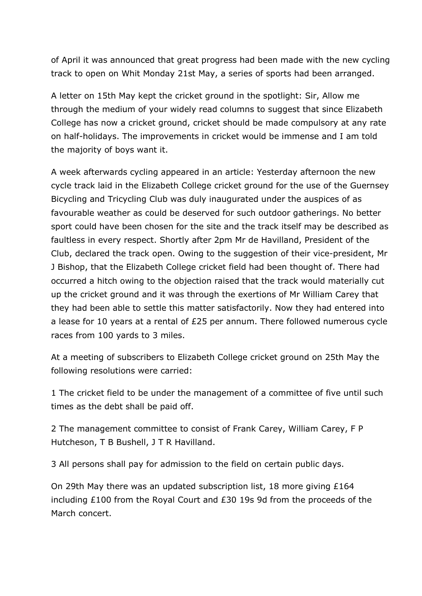of April it was announced that great progress had been made with the new cycling track to open on Whit Monday 21st May, a series of sports had been arranged.

A letter on 15th May kept the cricket ground in the spotlight: Sir, Allow me through the medium of your widely read columns to suggest that since Elizabeth College has now a cricket ground, cricket should be made compulsory at any rate on half-holidays. The improvements in cricket would be immense and I am told the majority of boys want it.

A week afterwards cycling appeared in an article: Yesterday afternoon the new cycle track laid in the Elizabeth College cricket ground for the use of the Guernsey Bicycling and Tricycling Club was duly inaugurated under the auspices of as favourable weather as could be deserved for such outdoor gatherings. No better sport could have been chosen for the site and the track itself may be described as faultless in every respect. Shortly after 2pm Mr de Havilland, President of the Club, declared the track open. Owing to the suggestion of their vice-president, Mr J Bishop, that the Elizabeth College cricket field had been thought of. There had occurred a hitch owing to the objection raised that the track would materially cut up the cricket ground and it was through the exertions of Mr William Carey that they had been able to settle this matter satisfactorily. Now they had entered into a lease for 10 years at a rental of £25 per annum. There followed numerous cycle races from 100 yards to 3 miles.

At a meeting of subscribers to Elizabeth College cricket ground on 25th May the following resolutions were carried:

1 The cricket field to be under the management of a committee of five until such times as the debt shall be paid off.

2 The management committee to consist of Frank Carey, William Carey, F P Hutcheson, T B Bushell, J T R Havilland.

3 All persons shall pay for admission to the field on certain public days.

On 29th May there was an updated subscription list, 18 more giving £164 including £100 from the Royal Court and £30 19s 9d from the proceeds of the March concert.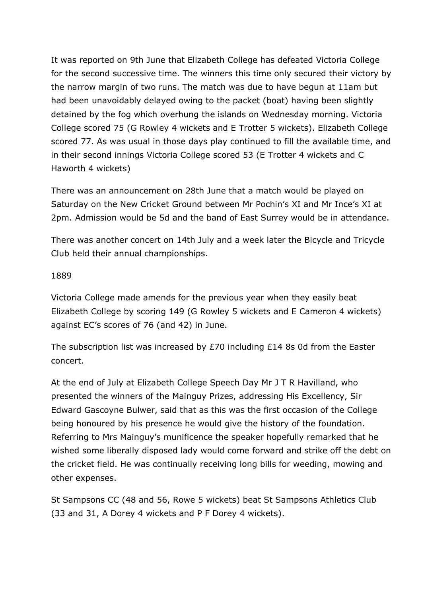It was reported on 9th June that Elizabeth College has defeated Victoria College for the second successive time. The winners this time only secured their victory by the narrow margin of two runs. The match was due to have begun at 11am but had been unavoidably delayed owing to the packet (boat) having been slightly detained by the fog which overhung the islands on Wednesday morning. Victoria College scored 75 (G Rowley 4 wickets and E Trotter 5 wickets). Elizabeth College scored 77. As was usual in those days play continued to fill the available time, and in their second innings Victoria College scored 53 (E Trotter 4 wickets and C Haworth 4 wickets)

There was an announcement on 28th June that a match would be played on Saturday on the New Cricket Ground between Mr Pochin's XI and Mr Ince's XI at 2pm. Admission would be 5d and the band of East Surrey would be in attendance.

There was another concert on 14th July and a week later the Bicycle and Tricycle Club held their annual championships.

## 1889

Victoria College made amends for the previous year when they easily beat Elizabeth College by scoring 149 (G Rowley 5 wickets and E Cameron 4 wickets) against EC's scores of 76 (and 42) in June.

The subscription list was increased by £70 including £14 8s 0d from the Easter concert.

At the end of July at Elizabeth College Speech Day Mr J T R Havilland, who presented the winners of the Mainguy Prizes, addressing His Excellency, Sir Edward Gascoyne Bulwer, said that as this was the first occasion of the College being honoured by his presence he would give the history of the foundation. Referring to Mrs Mainguy's munificence the speaker hopefully remarked that he wished some liberally disposed lady would come forward and strike off the debt on the cricket field. He was continually receiving long bills for weeding, mowing and other expenses.

St Sampsons CC (48 and 56, Rowe 5 wickets) beat St Sampsons Athletics Club (33 and 31, A Dorey 4 wickets and P F Dorey 4 wickets).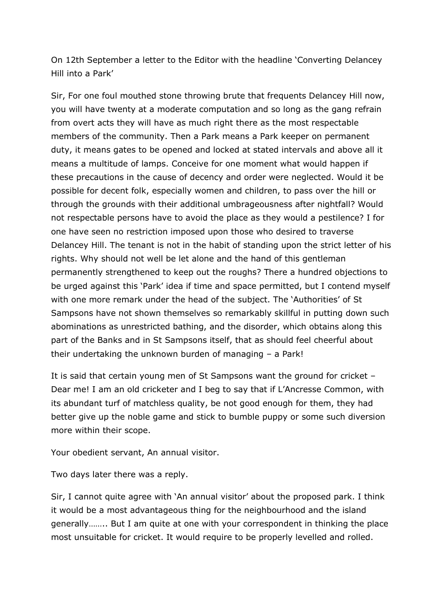On 12th September a letter to the Editor with the headline 'Converting Delancey Hill into a Park'

Sir, For one foul mouthed stone throwing brute that frequents Delancey Hill now, you will have twenty at a moderate computation and so long as the gang refrain from overt acts they will have as much right there as the most respectable members of the community. Then a Park means a Park keeper on permanent duty, it means gates to be opened and locked at stated intervals and above all it means a multitude of lamps. Conceive for one moment what would happen if these precautions in the cause of decency and order were neglected. Would it be possible for decent folk, especially women and children, to pass over the hill or through the grounds with their additional umbrageousness after nightfall? Would not respectable persons have to avoid the place as they would a pestilence? I for one have seen no restriction imposed upon those who desired to traverse Delancey Hill. The tenant is not in the habit of standing upon the strict letter of his rights. Why should not well be let alone and the hand of this gentleman permanently strengthened to keep out the roughs? There a hundred objections to be urged against this 'Park' idea if time and space permitted, but I contend myself with one more remark under the head of the subject. The 'Authorities' of St Sampsons have not shown themselves so remarkably skillful in putting down such abominations as unrestricted bathing, and the disorder, which obtains along this part of the Banks and in St Sampsons itself, that as should feel cheerful about their undertaking the unknown burden of managing – a Park!

It is said that certain young men of St Sampsons want the ground for cricket – Dear me! I am an old cricketer and I beg to say that if L'Ancresse Common, with its abundant turf of matchless quality, be not good enough for them, they had better give up the noble game and stick to bumble puppy or some such diversion more within their scope.

Your obedient servant, An annual visitor.

Two days later there was a reply.

Sir, I cannot quite agree with 'An annual visitor' about the proposed park. I think it would be a most advantageous thing for the neighbourhood and the island generally…….. But I am quite at one with your correspondent in thinking the place most unsuitable for cricket. It would require to be properly levelled and rolled.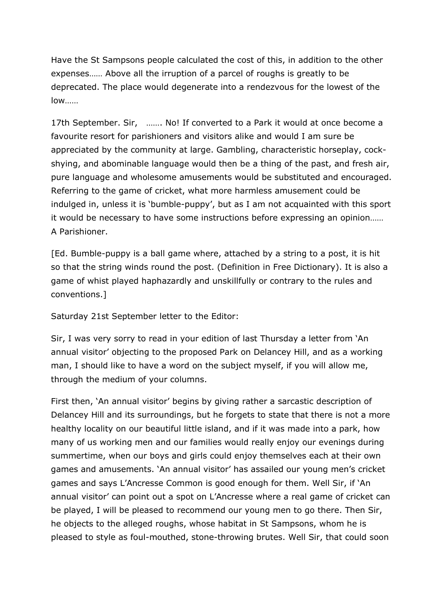Have the St Sampsons people calculated the cost of this, in addition to the other expenses…… Above all the irruption of a parcel of roughs is greatly to be deprecated. The place would degenerate into a rendezvous for the lowest of the low……

17th September. Sir, ……. No! If converted to a Park it would at once become a favourite resort for parishioners and visitors alike and would I am sure be appreciated by the community at large. Gambling, characteristic horseplay, cockshying, and abominable language would then be a thing of the past, and fresh air, pure language and wholesome amusements would be substituted and encouraged. Referring to the game of cricket, what more harmless amusement could be indulged in, unless it is 'bumble-puppy', but as I am not acquainted with this sport it would be necessary to have some instructions before expressing an opinion…… A Parishioner.

[Ed. Bumble-puppy is a ball game where, attached by a string to a post, it is hit so that the string winds round the post. (Definition in Free Dictionary). It is also a game of whist played haphazardly and unskillfully or contrary to the rules and conventions.]

Saturday 21st September letter to the Editor:

Sir, I was very sorry to read in your edition of last Thursday a letter from 'An annual visitor' objecting to the proposed Park on Delancey Hill, and as a working man, I should like to have a word on the subject myself, if you will allow me, through the medium of your columns.

First then, 'An annual visitor' begins by giving rather a sarcastic description of Delancey Hill and its surroundings, but he forgets to state that there is not a more healthy locality on our beautiful little island, and if it was made into a park, how many of us working men and our families would really enjoy our evenings during summertime, when our boys and girls could enjoy themselves each at their own games and amusements. 'An annual visitor' has assailed our young men's cricket games and says L'Ancresse Common is good enough for them. Well Sir, if 'An annual visitor' can point out a spot on L'Ancresse where a real game of cricket can be played, I will be pleased to recommend our young men to go there. Then Sir, he objects to the alleged roughs, whose habitat in St Sampsons, whom he is pleased to style as foul-mouthed, stone-throwing brutes. Well Sir, that could soon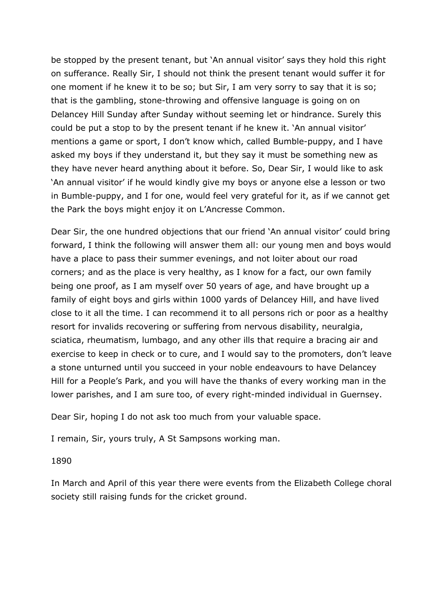be stopped by the present tenant, but 'An annual visitor' says they hold this right on sufferance. Really Sir, I should not think the present tenant would suffer it for one moment if he knew it to be so; but Sir, I am very sorry to say that it is so; that is the gambling, stone-throwing and offensive language is going on on Delancey Hill Sunday after Sunday without seeming let or hindrance. Surely this could be put a stop to by the present tenant if he knew it. 'An annual visitor' mentions a game or sport, I don't know which, called Bumble-puppy, and I have asked my boys if they understand it, but they say it must be something new as they have never heard anything about it before. So, Dear Sir, I would like to ask 'An annual visitor' if he would kindly give my boys or anyone else a lesson or two in Bumble-puppy, and I for one, would feel very grateful for it, as if we cannot get the Park the boys might enjoy it on L'Ancresse Common.

Dear Sir, the one hundred objections that our friend 'An annual visitor' could bring forward, I think the following will answer them all: our young men and boys would have a place to pass their summer evenings, and not loiter about our road corners; and as the place is very healthy, as I know for a fact, our own family being one proof, as I am myself over 50 years of age, and have brought up a family of eight boys and girls within 1000 yards of Delancey Hill, and have lived close to it all the time. I can recommend it to all persons rich or poor as a healthy resort for invalids recovering or suffering from nervous disability, neuralgia, sciatica, rheumatism, lumbago, and any other ills that require a bracing air and exercise to keep in check or to cure, and I would say to the promoters, don't leave a stone unturned until you succeed in your noble endeavours to have Delancey Hill for a People's Park, and you will have the thanks of every working man in the lower parishes, and I am sure too, of every right-minded individual in Guernsey.

Dear Sir, hoping I do not ask too much from your valuable space.

I remain, Sir, yours truly, A St Sampsons working man.

#### 1890

In March and April of this year there were events from the Elizabeth College choral society still raising funds for the cricket ground.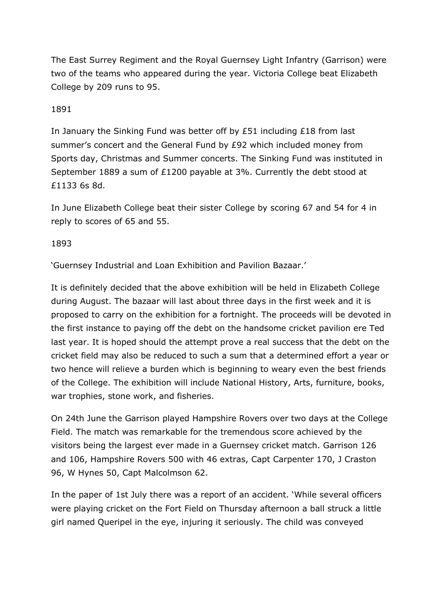The East Surrey Regiment and the Royal Guernsey Light Infantry (Garrison) were two of the teams who appeared during the year. Victoria College beat Elizabeth College by 209 runs to 95.

## 1891

In January the Sinking Fund was better off by £51 including £18 from last summer's concert and the General Fund by £92 which included money from Sports day, Christmas and Summer concerts. The Sinking Fund was instituted in September 1889 a sum of £1200 payable at 3%. Currently the debt stood at £1133 6s 8d.

In June Elizabeth College beat their sister College by scoring 67 and 54 for 4 in reply to scores of 65 and 55.

#### 1893

'Guernsey Industrial and Loan Exhibition and Pavilion Bazaar.'

It is definitely decided that the above exhibition will be held in Elizabeth College during August. The bazaar will last about three days in the first week and it is proposed to carry on the exhibition for a fortnight. The proceeds will be devoted in the first instance to paying off the debt on the handsome cricket pavilion ere Ted last year. It is hoped should the attempt prove a real success that the debt on the cricket field may also be reduced to such a sum that a determined effort a year or two hence will relieve a burden which is beginning to weary even the best friends of the College. The exhibition will include National History, Arts, furniture, books, war trophies, stone work, and fisheries.

On 24th June the Garrison played Hampshire Rovers over two days at the College Field. The match was remarkable for the tremendous score achieved by the visitors being the largest ever made in a Guernsey cricket match. Garrison 126 and 106, Hampshire Rovers 500 with 46 extras, Capt Carpenter 170, J Craston 96, W Hynes 50, Capt Malcolmson 62.

In the paper of 1st July there was a report of an accident. 'While several officers were playing cricket on the Fort Field on Thursday afternoon a ball struck a little girl named Queripel in the eye, injuring it seriously. The child was conveyed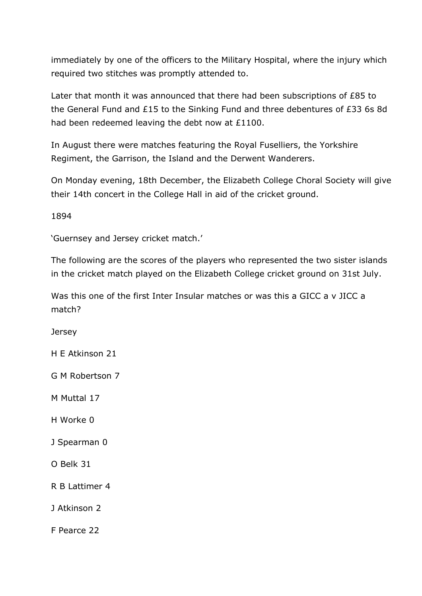immediately by one of the officers to the Military Hospital, where the injury which required two stitches was promptly attended to.

Later that month it was announced that there had been subscriptions of £85 to the General Fund and £15 to the Sinking Fund and three debentures of £33 6s 8d had been redeemed leaving the debt now at £1100.

In August there were matches featuring the Royal Fuselliers, the Yorkshire Regiment, the Garrison, the Island and the Derwent Wanderers.

On Monday evening, 18th December, the Elizabeth College Choral Society will give their 14th concert in the College Hall in aid of the cricket ground.

1894

'Guernsey and Jersey cricket match.'

The following are the scores of the players who represented the two sister islands in the cricket match played on the Elizabeth College cricket ground on 31st July.

Was this one of the first Inter Insular matches or was this a GICC a v JICC a match?

**Jersey** 

H E Atkinson 21

G M Robertson 7

M Muttal 17

H Worke 0

J Spearman 0

O Belk 31

R B Lattimer 4

J Atkinson 2

F Pearce 22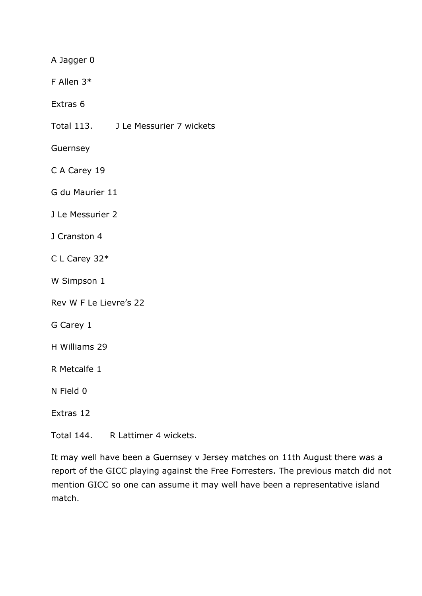A Jagger 0

F Allen 3\*

Extras 6

Total 113. J Le Messurier 7 wickets

Guernsey

C A Carey 19

G du Maurier 11

J Le Messurier 2

- J Cranston 4
- C L Carey 32\*
- W Simpson 1

Rev W F Le Lievre's 22

- G Carey 1
- H Williams 29
- R Metcalfe 1

N Field 0

Extras 12

Total 144. R Lattimer 4 wickets.

It may well have been a Guernsey v Jersey matches on 11th August there was a report of the GICC playing against the Free Forresters. The previous match did not mention GICC so one can assume it may well have been a representative island match.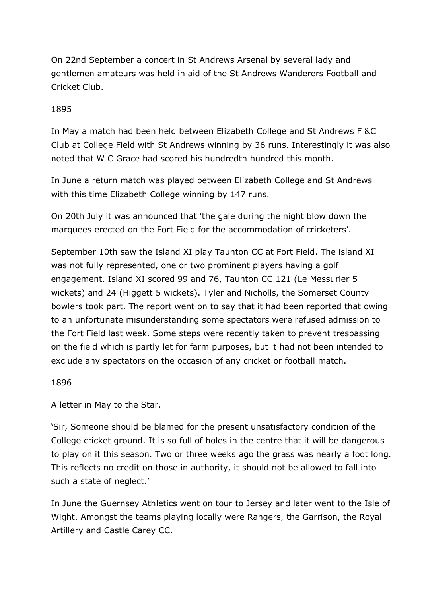On 22nd September a concert in St Andrews Arsenal by several lady and gentlemen amateurs was held in aid of the St Andrews Wanderers Football and Cricket Club.

## 1895

In May a match had been held between Elizabeth College and St Andrews F &C Club at College Field with St Andrews winning by 36 runs. Interestingly it was also noted that W C Grace had scored his hundredth hundred this month.

In June a return match was played between Elizabeth College and St Andrews with this time Elizabeth College winning by 147 runs.

On 20th July it was announced that 'the gale during the night blow down the marquees erected on the Fort Field for the accommodation of cricketers'.

September 10th saw the Island XI play Taunton CC at Fort Field. The island XI was not fully represented, one or two prominent players having a golf engagement. Island XI scored 99 and 76, Taunton CC 121 (Le Messurier 5 wickets) and 24 (Higgett 5 wickets). Tyler and Nicholls, the Somerset County bowlers took part. The report went on to say that it had been reported that owing to an unfortunate misunderstanding some spectators were refused admission to the Fort Field last week. Some steps were recently taken to prevent trespassing on the field which is partly let for farm purposes, but it had not been intended to exclude any spectators on the occasion of any cricket or football match.

#### 1896

A letter in May to the Star.

'Sir, Someone should be blamed for the present unsatisfactory condition of the College cricket ground. It is so full of holes in the centre that it will be dangerous to play on it this season. Two or three weeks ago the grass was nearly a foot long. This reflects no credit on those in authority, it should not be allowed to fall into such a state of neglect.'

In June the Guernsey Athletics went on tour to Jersey and later went to the Isle of Wight. Amongst the teams playing locally were Rangers, the Garrison, the Royal Artillery and Castle Carey CC.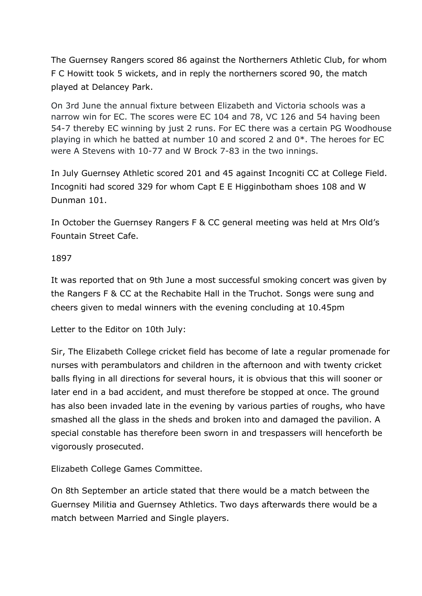The Guernsey Rangers scored 86 against the Northerners Athletic Club, for whom F C Howitt took 5 wickets, and in reply the northerners scored 90, the match played at Delancey Park.

On 3rd June the annual fixture between Elizabeth and Victoria schools was a narrow win for EC. The scores were EC 104 and 78, VC 126 and 54 having been 54-7 thereby EC winning by just 2 runs. For EC there was a certain PG Woodhouse playing in which he batted at number 10 and scored 2 and 0\*. The heroes for EC were A Stevens with 10-77 and W Brock 7-83 in the two innings.

In July Guernsey Athletic scored 201 and 45 against Incogniti CC at College Field. Incogniti had scored 329 for whom Capt E E Higginbotham shoes 108 and W Dunman 101.

In October the Guernsey Rangers F & CC general meeting was held at Mrs Old's Fountain Street Cafe.

## 1897

It was reported that on 9th June a most successful smoking concert was given by the Rangers F & CC at the Rechabite Hall in the Truchot. Songs were sung and cheers given to medal winners with the evening concluding at 10.45pm

Letter to the Editor on 10th July:

Sir, The Elizabeth College cricket field has become of late a regular promenade for nurses with perambulators and children in the afternoon and with twenty cricket balls flying in all directions for several hours, it is obvious that this will sooner or later end in a bad accident, and must therefore be stopped at once. The ground has also been invaded late in the evening by various parties of roughs, who have smashed all the glass in the sheds and broken into and damaged the pavilion. A special constable has therefore been sworn in and trespassers will henceforth be vigorously prosecuted.

Elizabeth College Games Committee.

On 8th September an article stated that there would be a match between the Guernsey Militia and Guernsey Athletics. Two days afterwards there would be a match between Married and Single players.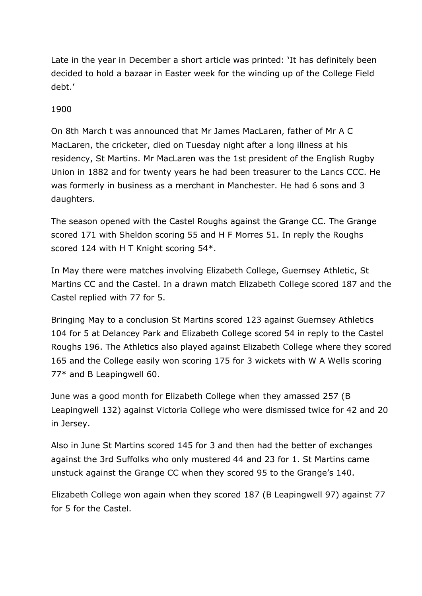Late in the year in December a short article was printed: 'It has definitely been decided to hold a bazaar in Easter week for the winding up of the College Field debt.'

# 1900

On 8th March t was announced that Mr James MacLaren, father of Mr A C MacLaren, the cricketer, died on Tuesday night after a long illness at his residency, St Martins. Mr MacLaren was the 1st president of the English Rugby Union in 1882 and for twenty years he had been treasurer to the Lancs CCC. He was formerly in business as a merchant in Manchester. He had 6 sons and 3 daughters.

The season opened with the Castel Roughs against the Grange CC. The Grange scored 171 with Sheldon scoring 55 and H F Morres 51. In reply the Roughs scored 124 with H T Knight scoring 54\*.

In May there were matches involving Elizabeth College, Guernsey Athletic, St Martins CC and the Castel. In a drawn match Elizabeth College scored 187 and the Castel replied with 77 for 5.

Bringing May to a conclusion St Martins scored 123 against Guernsey Athletics 104 for 5 at Delancey Park and Elizabeth College scored 54 in reply to the Castel Roughs 196. The Athletics also played against Elizabeth College where they scored 165 and the College easily won scoring 175 for 3 wickets with W A Wells scoring 77\* and B Leapingwell 60.

June was a good month for Elizabeth College when they amassed 257 (B Leapingwell 132) against Victoria College who were dismissed twice for 42 and 20 in Jersey.

Also in June St Martins scored 145 for 3 and then had the better of exchanges against the 3rd Suffolks who only mustered 44 and 23 for 1. St Martins came unstuck against the Grange CC when they scored 95 to the Grange's 140.

Elizabeth College won again when they scored 187 (B Leapingwell 97) against 77 for 5 for the Castel.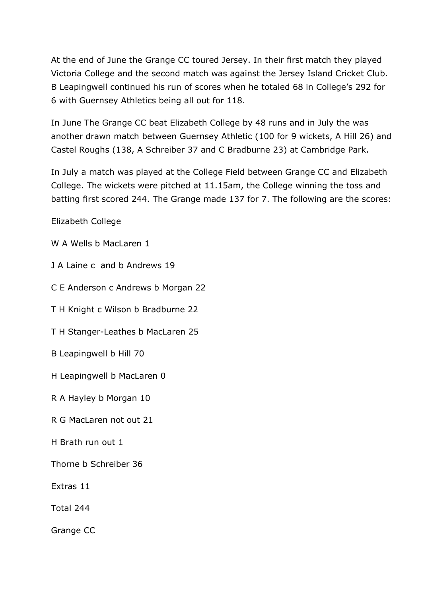At the end of June the Grange CC toured Jersey. In their first match they played Victoria College and the second match was against the Jersey Island Cricket Club. B Leapingwell continued his run of scores when he totaled 68 in College's 292 for 6 with Guernsey Athletics being all out for 118.

In June The Grange CC beat Elizabeth College by 48 runs and in July the was another drawn match between Guernsey Athletic (100 for 9 wickets, A Hill 26) and Castel Roughs (138, A Schreiber 37 and C Bradburne 23) at Cambridge Park.

In July a match was played at the College Field between Grange CC and Elizabeth College. The wickets were pitched at 11.15am, the College winning the toss and batting first scored 244. The Grange made 137 for 7. The following are the scores:

Elizabeth College

W A Wells b MacLaren 1

J A Laine c and b Andrews 19

C E Anderson c Andrews b Morgan 22

T H Knight c Wilson b Bradburne 22

T H Stanger-Leathes b MacLaren 25

B Leapingwell b Hill 70

H Leapingwell b MacLaren 0

R A Hayley b Morgan 10

R G MacLaren not out 21

H Brath run out 1

Thorne b Schreiber 36

Extras 11

Total 244

Grange CC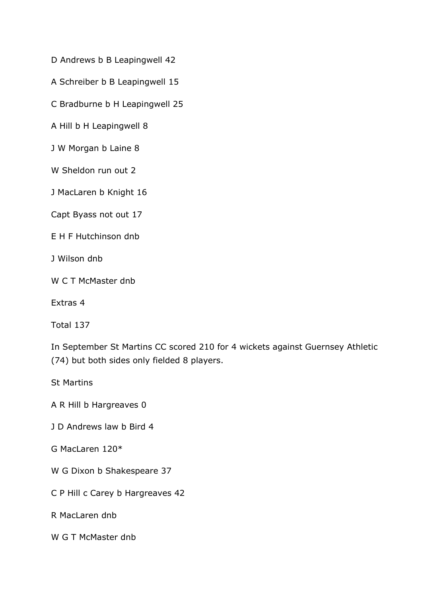D Andrews b B Leapingwell 42

A Schreiber b B Leapingwell 15

C Bradburne b H Leapingwell 25

A Hill b H Leapingwell 8

J W Morgan b Laine 8

W Sheldon run out 2

J MacLaren b Knight 16

Capt Byass not out 17

E H F Hutchinson dnb

J Wilson dnb

W C T McMaster dnb

Extras 4

Total 137

In September St Martins CC scored 210 for 4 wickets against Guernsey Athletic (74) but both sides only fielded 8 players.

St Martins

A R Hill b Hargreaves 0

J D Andrews law b Bird 4

G MacLaren 120\*

W G Dixon b Shakespeare 37

C P Hill c Carey b Hargreaves 42

R MacLaren dnb

W G T McMaster dnb